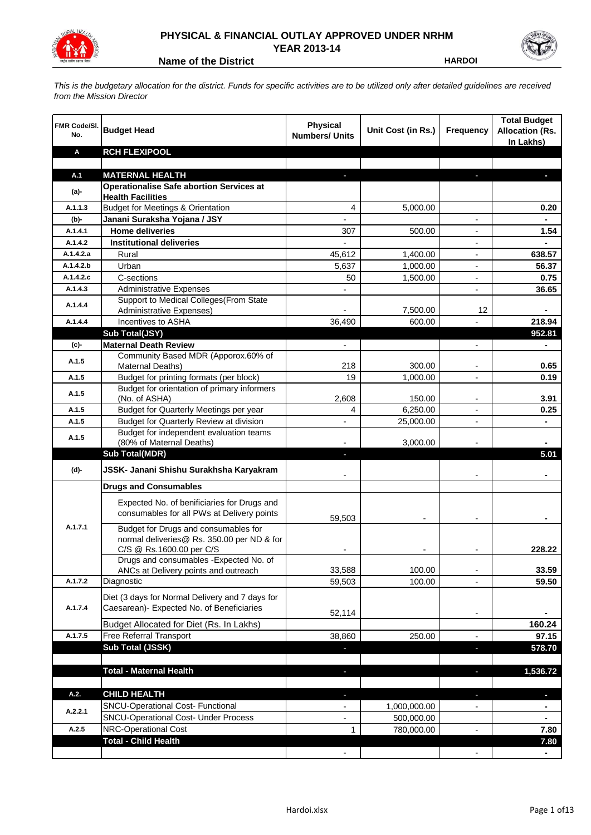

## **PHYSICAL & FINANCIAL OUTLAY APPROVED UNDER NRHM YEAR 2013-14**

**Name of the District HARDOI** 

*This is the budgetary allocation for the district. Funds for specific activities are to be utilized only after detailed guidelines are received from the Mission Director*

| FMR Code/SI.<br>No. | <b>Budget Head</b>                                                       | <b>Physical</b><br><b>Numbers/ Units</b> | Unit Cost (in Rs.)   | <b>Frequency</b>         | <b>Total Budget</b><br><b>Allocation (Rs.</b><br>In Lakhs) |
|---------------------|--------------------------------------------------------------------------|------------------------------------------|----------------------|--------------------------|------------------------------------------------------------|
| Α                   | <b>RCH FLEXIPOOL</b>                                                     |                                          |                      |                          |                                                            |
|                     |                                                                          |                                          |                      |                          |                                                            |
| A.1                 | <b>MATERNAL HEALTH</b>                                                   |                                          |                      |                          |                                                            |
| $(a)$ -             | <b>Operationalise Safe abortion Services at</b>                          |                                          |                      |                          |                                                            |
| A.1.1.3             | <b>Health Facilities</b><br><b>Budget for Meetings &amp; Orientation</b> |                                          |                      |                          |                                                            |
|                     |                                                                          | 4                                        | 5,000.00             |                          | 0.20                                                       |
| (b)-<br>A.1.4.1     | Janani Suraksha Yojana / JSY<br><b>Home deliveries</b>                   | 307                                      | 500.00               |                          | 1.54                                                       |
| A.1.4.2             | <b>Institutional deliveries</b>                                          |                                          |                      |                          |                                                            |
| A.1.4.2.a           | Rural                                                                    |                                          |                      |                          | 638.57                                                     |
| A.1.4.2.b           | Urban                                                                    | 45,612<br>5,637                          | 1,400.00<br>1,000.00 |                          | 56.37                                                      |
| A.1.4.2.c           | C-sections                                                               | 50                                       | 1,500.00             |                          | 0.75                                                       |
| A.1.4.3             | <b>Administrative Expenses</b>                                           |                                          |                      | $\overline{a}$           | 36.65                                                      |
|                     | Support to Medical Colleges (From State                                  |                                          |                      |                          |                                                            |
| A.1.4.4             | Administrative Expenses)                                                 |                                          | 7,500.00             | 12                       |                                                            |
| A.1.4.4             | Incentives to ASHA                                                       | 36,490                                   | 600.00               |                          | 218.94                                                     |
|                     | Sub Total(JSY)                                                           |                                          |                      |                          | 952.81                                                     |
| (c)-                | <b>Maternal Death Review</b>                                             | $\overline{\phantom{a}}$                 |                      | $\overline{\phantom{a}}$ | $\blacksquare$                                             |
|                     | Community Based MDR (Apporox.60% of                                      |                                          |                      |                          |                                                            |
| A.1.5               | Maternal Deaths)                                                         | 218                                      | 300.00               | $\blacksquare$           | 0.65                                                       |
| A.1.5               | Budget for printing formats (per block)                                  | 19                                       | 1,000.00             |                          | 0.19                                                       |
| A.1.5               | Budget for orientation of primary informers                              |                                          |                      |                          |                                                            |
|                     | (No. of ASHA)                                                            | 2,608                                    | 150.00               | $\overline{\phantom{a}}$ | 3.91                                                       |
| A.1.5               | Budget for Quarterly Meetings per year                                   | 4                                        | 6,250.00             |                          | 0.25                                                       |
| A.1.5               | Budget for Quarterly Review at division                                  | $\overline{\phantom{a}}$                 | 25,000.00            |                          |                                                            |
| A.1.5               | Budget for independent evaluation teams<br>(80% of Maternal Deaths)      |                                          | 3,000.00             |                          |                                                            |
|                     | <b>Sub Total(MDR)</b>                                                    | L.                                       |                      |                          | 5.01                                                       |
|                     |                                                                          |                                          |                      |                          |                                                            |
| (d)-                | JSSK- Janani Shishu Surakhsha Karyakram                                  |                                          |                      |                          |                                                            |
|                     | <b>Drugs and Consumables</b>                                             |                                          |                      |                          |                                                            |
|                     | Expected No. of benificiaries for Drugs and                              |                                          |                      |                          |                                                            |
|                     | consumables for all PWs at Delivery points                               |                                          |                      |                          |                                                            |
| A.1.7.1             | Budget for Drugs and consumables for                                     | 59,503                                   |                      |                          |                                                            |
|                     | normal deliveries@ Rs. 350.00 per ND & for                               |                                          |                      |                          |                                                            |
|                     | C/S @ Rs.1600.00 per C/S                                                 |                                          |                      |                          | 228.22                                                     |
|                     | Drugs and consumables - Expected No. of                                  |                                          |                      |                          |                                                            |
|                     | ANCs at Delivery points and outreach                                     | 33,588                                   | 100.00               |                          | 33.59                                                      |
| A.1.7.2             | Diagnostic                                                               | 59,503                                   | 100.00               |                          | 59.50                                                      |
|                     | Diet (3 days for Normal Delivery and 7 days for                          |                                          |                      |                          |                                                            |
| A.1.7.4             | Caesarean)- Expected No. of Beneficiaries                                |                                          |                      |                          |                                                            |
|                     | Budget Allocated for Diet (Rs. In Lakhs)                                 | 52,114                                   |                      | $\overline{\phantom{a}}$ | 160.24                                                     |
| A.1.7.5             | Free Referral Transport                                                  | 38,860                                   | 250.00               | $\overline{a}$           | 97.15                                                      |
|                     | Sub Total (JSSK)                                                         |                                          |                      | ×,                       | 578.70                                                     |
|                     |                                                                          |                                          |                      |                          |                                                            |
|                     | <b>Total - Maternal Health</b>                                           | J,                                       |                      | ٠                        | 1,536.72                                                   |
|                     |                                                                          |                                          |                      |                          |                                                            |
| A.2.                | <b>CHILD HEALTH</b>                                                      |                                          |                      | r.                       | ٠                                                          |
|                     | SNCU-Operational Cost- Functional                                        |                                          | 1,000,000.00         |                          |                                                            |
| A.2.2.1             | <b>SNCU-Operational Cost- Under Process</b>                              |                                          | 500,000.00           |                          |                                                            |
| A.2.5               | NRC-Operational Cost                                                     | 1                                        | 780,000.00           |                          | 7.80                                                       |
|                     | <b>Total - Child Health</b>                                              |                                          |                      |                          | 7.80                                                       |
|                     |                                                                          |                                          |                      |                          |                                                            |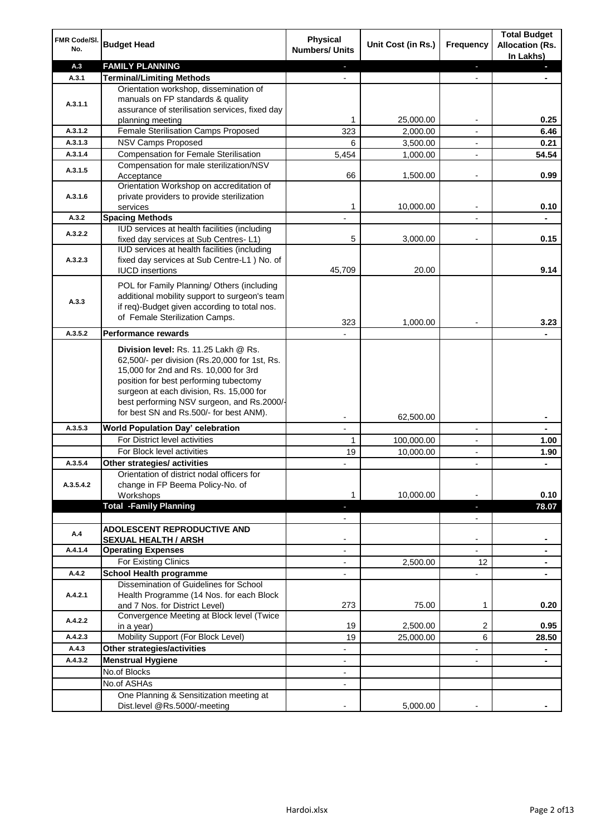| FMR Code/SI.<br>No.  | <b>Budget Head</b>                                                                                                                                                                                                                                                                                            | <b>Physical</b><br><b>Numbers/ Units</b>             | Unit Cost (in Rs.) | <b>Frequency</b>              | <b>Total Budget</b><br><b>Allocation (Rs.</b><br>In Lakhs) |
|----------------------|---------------------------------------------------------------------------------------------------------------------------------------------------------------------------------------------------------------------------------------------------------------------------------------------------------------|------------------------------------------------------|--------------------|-------------------------------|------------------------------------------------------------|
| A.3                  | <b>FAMILY PLANNING</b>                                                                                                                                                                                                                                                                                        | $\sim$                                               |                    | $\blacksquare$                | $\sim$                                                     |
| A.3.1                | <b>Terminal/Limiting Methods</b>                                                                                                                                                                                                                                                                              |                                                      |                    |                               |                                                            |
| A.3.1.1              | Orientation workshop, dissemination of<br>manuals on FP standards & quality<br>assurance of sterilisation services, fixed day<br>planning meeting                                                                                                                                                             | 1                                                    | 25,000.00          | $\overline{\phantom{a}}$      | 0.25                                                       |
| A.3.1.2              | Female Sterilisation Camps Proposed                                                                                                                                                                                                                                                                           | 323                                                  | 2,000.00           |                               | 6.46                                                       |
| A.3.1.3              | <b>NSV Camps Proposed</b>                                                                                                                                                                                                                                                                                     | 6                                                    | 3,500.00           |                               | 0.21                                                       |
| A.3.1.4              | <b>Compensation for Female Sterilisation</b>                                                                                                                                                                                                                                                                  | 5,454                                                | 1,000.00           | $\overline{\phantom{a}}$      | 54.54                                                      |
| A.3.1.5              | Compensation for male sterilization/NSV<br>Acceptance                                                                                                                                                                                                                                                         | 66                                                   | 1,500.00           |                               | 0.99                                                       |
| A.3.1.6              | Orientation Workshop on accreditation of<br>private providers to provide sterilization<br>services                                                                                                                                                                                                            | 1                                                    | 10,000.00          | $\blacksquare$                | 0.10                                                       |
| A.3.2                | <b>Spacing Methods</b>                                                                                                                                                                                                                                                                                        |                                                      |                    |                               | ٠                                                          |
| A.3.2.2              | IUD services at health facilities (including<br>fixed day services at Sub Centres-L1)                                                                                                                                                                                                                         | 5                                                    | 3,000.00           | $\overline{\phantom{a}}$      | 0.15                                                       |
| A.3.2.3              | IUD services at health facilities (including<br>fixed day services at Sub Centre-L1 ) No. of<br><b>IUCD</b> insertions                                                                                                                                                                                        | 45,709                                               | 20.00              |                               | 9.14                                                       |
| A.3.3                | POL for Family Planning/ Others (including<br>additional mobility support to surgeon's team<br>if req)-Budget given according to total nos.<br>of Female Sterilization Camps.                                                                                                                                 | 323                                                  | 1,000.00           |                               | 3.23                                                       |
| A.3.5.2              | <b>Performance rewards</b>                                                                                                                                                                                                                                                                                    |                                                      |                    |                               |                                                            |
|                      | Division level: Rs. 11.25 Lakh @ Rs.<br>62,500/- per division (Rs.20,000 for 1st, Rs.<br>15,000 for 2nd and Rs. 10,000 for 3rd<br>position for best performing tubectomy<br>surgeon at each division, Rs. 15,000 for<br>best performing NSV surgeon, and Rs.2000/-<br>for best SN and Rs.500/- for best ANM). |                                                      |                    |                               |                                                            |
|                      |                                                                                                                                                                                                                                                                                                               |                                                      | 62,500.00          |                               | ۰                                                          |
| A.3.5.3              | World Population Day' celebration                                                                                                                                                                                                                                                                             |                                                      |                    |                               |                                                            |
|                      | For District level activities                                                                                                                                                                                                                                                                                 | 1                                                    | 100,000.00         |                               | 1.00                                                       |
|                      | For Block level activities                                                                                                                                                                                                                                                                                    | 19                                                   | 10,000.00          | $\blacksquare$                | 1.90                                                       |
| A.3.5.4<br>A.3.5.4.2 | Other strategies/ activities<br>Orientation of district nodal officers for<br>change in FP Beema Policy-No. of<br>Workshops                                                                                                                                                                                   | 1                                                    | 10,000.00          |                               | 0.10                                                       |
|                      | <b>Total -Family Planning</b>                                                                                                                                                                                                                                                                                 | $\overline{\phantom{a}}$<br>$\overline{\phantom{a}}$ |                    | ٠<br>$\overline{\phantom{a}}$ | 78.07                                                      |
| A.4                  | ADOLESCENT REPRODUCTIVE AND<br><b>SEXUAL HEALTH / ARSH</b>                                                                                                                                                                                                                                                    |                                                      |                    | $\blacksquare$                |                                                            |
| A.4.1.4              | <b>Operating Expenses</b>                                                                                                                                                                                                                                                                                     |                                                      |                    |                               |                                                            |
|                      | For Existing Clinics                                                                                                                                                                                                                                                                                          | $\blacksquare$                                       | 2,500.00           | 12                            | ۰                                                          |
| A.4.2                | <b>School Health programme</b>                                                                                                                                                                                                                                                                                | $\blacksquare$                                       |                    | $\overline{a}$                |                                                            |
| A.4.2.1              | Dissemination of Guidelines for School<br>Health Programme (14 Nos. for each Block<br>and 7 Nos. for District Level)                                                                                                                                                                                          | 273                                                  | 75.00              | 1                             | 0.20                                                       |
| A.4.2.2              | Convergence Meeting at Block level (Twice<br>in a year)                                                                                                                                                                                                                                                       | 19                                                   | 2,500.00           | 2                             | 0.95                                                       |
| A.4.2.3              | Mobility Support (For Block Level)                                                                                                                                                                                                                                                                            | 19                                                   | 25,000.00          | 6                             | 28.50                                                      |
| A.4.3                | Other strategies/activities                                                                                                                                                                                                                                                                                   | $\overline{\phantom{0}}$                             |                    | -                             | ۰                                                          |
| A.4.3.2              | <b>Menstrual Hygiene</b>                                                                                                                                                                                                                                                                                      | $\overline{\phantom{a}}$                             |                    | ٠                             | $\blacksquare$                                             |
|                      | No.of Blocks                                                                                                                                                                                                                                                                                                  | $\overline{\phantom{a}}$                             |                    |                               |                                                            |
|                      | No.of ASHAs                                                                                                                                                                                                                                                                                                   | $\overline{\phantom{a}}$                             |                    |                               |                                                            |
|                      | One Planning & Sensitization meeting at<br>Dist.level @Rs.5000/-meeting                                                                                                                                                                                                                                       |                                                      | 5,000.00           |                               |                                                            |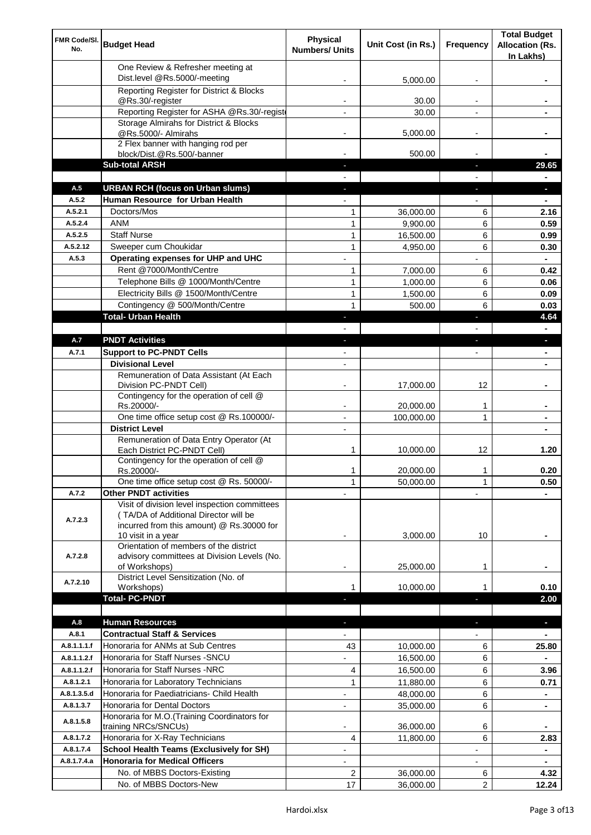| FMR Code/SI.<br>No. | <b>Budget Head</b>                                                                                                                                        | Physical<br><b>Numbers/ Units</b> | Unit Cost (in Rs.)    | Frequency                | <b>Total Budget</b><br><b>Allocation (Rs.</b><br>In Lakhs) |
|---------------------|-----------------------------------------------------------------------------------------------------------------------------------------------------------|-----------------------------------|-----------------------|--------------------------|------------------------------------------------------------|
|                     | One Review & Refresher meeting at<br>Dist.level @Rs.5000/-meeting                                                                                         |                                   | 5,000.00              |                          |                                                            |
|                     | Reporting Register for District & Blocks                                                                                                                  |                                   |                       |                          |                                                            |
|                     | @Rs.30/-register                                                                                                                                          |                                   | 30.00                 |                          |                                                            |
|                     | Reporting Register for ASHA @Rs.30/-regist                                                                                                                |                                   | 30.00                 | $\overline{a}$           |                                                            |
|                     | Storage Almirahs for District & Blocks<br>@Rs.5000/- Almirahs                                                                                             | $\blacksquare$                    | 5,000.00              | $\overline{\phantom{a}}$ |                                                            |
|                     | 2 Flex banner with hanging rod per                                                                                                                        |                                   |                       |                          |                                                            |
|                     | block/Dist.@Rs.500/-banner                                                                                                                                |                                   | 500.00                |                          |                                                            |
|                     | <b>Sub-total ARSH</b>                                                                                                                                     |                                   |                       | a,                       | 29.65                                                      |
| A.5                 | <b>URBAN RCH (focus on Urban slums)</b>                                                                                                                   |                                   |                       |                          |                                                            |
| A.5.2               | Human Resource for Urban Health                                                                                                                           |                                   |                       |                          |                                                            |
| A.5.2.1<br>A.5.2.4  | Doctors/Mos<br><b>ANM</b>                                                                                                                                 | 1<br>1                            | 36,000.00<br>9.900.00 | 6                        | 2.16                                                       |
| A.5.2.5             | <b>Staff Nurse</b>                                                                                                                                        | $\mathbf{1}$                      | 16,500.00             | 6<br>6                   | 0.59<br>0.99                                               |
| A.5.2.12            | Sweeper cum Choukidar                                                                                                                                     | 1                                 | 4,950.00              | 6                        | 0.30                                                       |
| A.5.3               | Operating expenses for UHP and UHC                                                                                                                        |                                   |                       |                          | $\blacksquare$                                             |
|                     | Rent @7000/Month/Centre                                                                                                                                   | 1                                 | 7,000.00              | 6                        | 0.42                                                       |
|                     | Telephone Bills @ 1000/Month/Centre                                                                                                                       | 1                                 | 1,000.00              | 6                        | 0.06                                                       |
|                     | Electricity Bills @ 1500/Month/Centre                                                                                                                     | 1                                 | 1,500.00              | 6                        | 0.09                                                       |
|                     | Contingency @ 500/Month/Centre                                                                                                                            | 1                                 | 500.00                | 6                        | 0.03                                                       |
|                     | <b>Total- Urban Health</b>                                                                                                                                | $\blacksquare$                    |                       | F                        | 4.64                                                       |
|                     |                                                                                                                                                           |                                   |                       |                          | $\blacksquare$                                             |
| A.7                 | <b>PNDT Activities</b>                                                                                                                                    | ٠                                 |                       | ×                        | ٠                                                          |
| A.7.1               | <b>Support to PC-PNDT Cells</b>                                                                                                                           |                                   |                       | $\overline{\phantom{a}}$ | $\blacksquare$                                             |
|                     | <b>Divisional Level</b><br>Remuneration of Data Assistant (At Each                                                                                        | $\blacksquare$                    |                       |                          | ٠                                                          |
|                     | Division PC-PNDT Cell)                                                                                                                                    |                                   | 17,000.00             | 12                       |                                                            |
|                     | Contingency for the operation of cell @<br>Rs.20000/-                                                                                                     |                                   | 20,000.00             | 1                        |                                                            |
|                     | One time office setup cost @ Rs.100000/-                                                                                                                  |                                   | 100,000.00            | 1                        |                                                            |
|                     | <b>District Level</b>                                                                                                                                     |                                   |                       |                          |                                                            |
|                     | Remuneration of Data Entry Operator (At<br>Each District PC-PNDT Cell)                                                                                    | 1                                 | 10,000.00             | 12                       | 1.20                                                       |
|                     | Contingency for the operation of cell @<br>Rs.20000/-                                                                                                     | 1                                 | 20,000.00             | 1                        | 0.20                                                       |
|                     | One time office setup cost @ Rs. 50000/-                                                                                                                  | 1                                 | 50,000.00             | 1                        | 0.50                                                       |
| A.7.2               | <b>Other PNDT activities</b>                                                                                                                              |                                   |                       |                          |                                                            |
| A.7.2.3             | Visit of division level inspection committees<br>(TA/DA of Additional Director will be<br>incurred from this amount) @ Rs.30000 for<br>10 visit in a year |                                   | 3,000.00              | 10                       |                                                            |
| A.7.2.8             | Orientation of members of the district<br>advisory committees at Division Levels (No.<br>of Workshops)                                                    | -                                 | 25,000.00             | 1                        |                                                            |
| A.7.2.10            | District Level Sensitization (No. of                                                                                                                      | 1                                 | 10,000.00             |                          | 0.10                                                       |
|                     | Workshops)<br><b>Total- PC-PNDT</b>                                                                                                                       |                                   |                       |                          | 2.00                                                       |
|                     |                                                                                                                                                           |                                   |                       |                          |                                                            |
| A.8                 | <b>Human Resources</b>                                                                                                                                    |                                   |                       |                          | ×.                                                         |
| A.8.1               | <b>Contractual Staff &amp; Services</b>                                                                                                                   |                                   |                       |                          |                                                            |
| A.8.1.1.1.f         | Honoraria for ANMs at Sub Centres                                                                                                                         | 43                                | 10,000.00             | 6                        | 25.80                                                      |
| A.8.1.1.2.f         | Honoraria for Staff Nurses - SNCU                                                                                                                         |                                   | 16,500.00             | 6                        |                                                            |
| A.8.1.1.2.f         | Honoraria for Staff Nurses -NRC                                                                                                                           | 4                                 | 16,500.00             | 6                        | 3.96                                                       |
| A.8.1.2.1           | Honoraria for Laboratory Technicians                                                                                                                      | 1                                 | 11,880.00             | 6                        | 0.71                                                       |
| A.8.1.3.5.d         | Honoraria for Paediatricians- Child Health                                                                                                                |                                   | 48,000.00             | 6                        |                                                            |
| A.8.1.3.7           | Honoraria for Dental Doctors                                                                                                                              | $\blacksquare$                    | 35,000.00             | 6                        | ٠                                                          |
| A.8.1.5.8           | Honoraria for M.O.(Training Coordinators for<br>training NRCs/SNCUs)                                                                                      |                                   | 36,000.00             | 6                        |                                                            |
| A.8.1.7.2           | Honoraria for X-Ray Technicians                                                                                                                           | 4                                 | 11,800.00             | 6                        | 2.83                                                       |
| A.8.1.7.4           | <b>School Health Teams (Exclusively for SH)</b>                                                                                                           |                                   |                       |                          | ٠                                                          |
| A.8.1.7.4.a         | <b>Honoraria for Medical Officers</b>                                                                                                                     |                                   |                       |                          | ۰                                                          |
|                     | No. of MBBS Doctors-Existing                                                                                                                              | 2                                 | 36,000.00             | 6                        | 4.32                                                       |
|                     | No. of MBBS Doctors-New                                                                                                                                   | 17                                | 36,000.00             | 2                        | 12.24                                                      |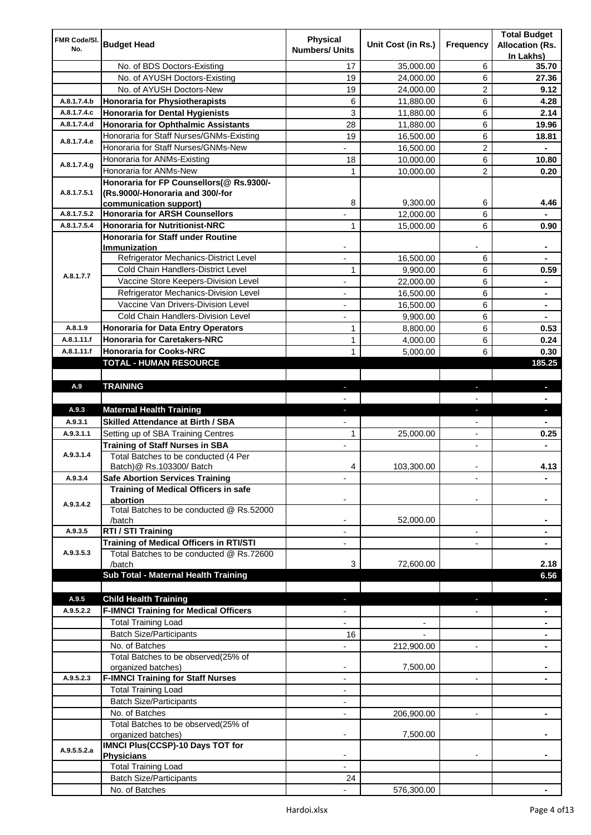| FMR Code/SI.               | <b>Budget Head</b>                                       | <b>Physical</b>          |                    |                          | <b>Total Budget</b>    |
|----------------------------|----------------------------------------------------------|--------------------------|--------------------|--------------------------|------------------------|
| No.                        |                                                          | <b>Numbers/ Units</b>    | Unit Cost (in Rs.) | Frequency                | <b>Allocation (Rs.</b> |
|                            |                                                          |                          |                    |                          | In Lakhs)              |
|                            | No. of BDS Doctors-Existing                              | 17                       | 35,000.00          | 6                        | 35.70                  |
|                            | No. of AYUSH Doctors-Existing                            | 19                       | 24,000.00          | 6                        | 27.36                  |
|                            | No. of AYUSH Doctors-New                                 | 19                       | 24,000.00          | 2                        | 9.12                   |
| A.8.1.7.4.b                | <b>Honoraria for Physiotherapists</b>                    | 6                        | 11,880.00          | 6                        | 4.28                   |
| A.8.1.7.4.c                | <b>Honoraria for Dental Hygienists</b>                   | 3                        | 11,880.00          | 6                        | 2.14                   |
| A.8.1.7.4.d                | <b>Honoraria for Ophthalmic Assistants</b>               | 28                       | 11,880.00          | 6                        | 19.96                  |
| A.8.1.7.4.e                | Honoraria for Staff Nurses/GNMs-Existing                 | 19                       | 16,500.00          | 6                        | 18.81                  |
|                            | Honoraria for Staff Nurses/GNMs-New                      |                          | 16,500.00          | $\overline{c}$           |                        |
| A.8.1.7.4.g                | Honoraria for ANMs-Existing                              | 18                       | 10,000.00          | 6                        | 10.80                  |
|                            | Honoraria for ANMs-New                                   | 1                        | 10,000.00          | 2                        | 0.20                   |
|                            | Honoraria for FP Counsellors(@ Rs.9300/-                 |                          |                    |                          |                        |
| A.8.1.7.5.1                | (Rs.9000/-Honoraria and 300/-for                         |                          |                    |                          |                        |
|                            | communication support)                                   | 8                        | 9,300.00           | 6                        | 4.46                   |
| A.8.1.7.5.2<br>A.8.1.7.5.4 | <b>Honoraria for ARSH Counsellors</b>                    |                          | 12,000.00          | 6                        |                        |
|                            | <b>Honoraria for Nutritionist-NRC</b>                    | 1                        | 15,000.00          | 6                        | 0.90                   |
|                            | <b>Honoraria for Staff under Routine</b><br>Immunization |                          |                    |                          |                        |
|                            | Refrigerator Mechanics-District Level                    | $\overline{a}$           | 16,500.00          | 6                        |                        |
|                            | Cold Chain Handlers-District Level                       | 1                        | 9,900.00           | 6                        | 0.59                   |
| A.8.1.7.7                  | Vaccine Store Keepers-Division Level                     |                          |                    | 6                        |                        |
|                            | Refrigerator Mechanics-Division Level                    |                          | 22,000.00          |                          |                        |
|                            |                                                          | $\blacksquare$           | 16,500.00          | 6                        | ۰                      |
|                            | Vaccine Van Drivers-Division Level                       | ÷,                       | 16,500.00          | 6                        | ۰                      |
|                            | Cold Chain Handlers-Division Level                       | $\overline{\phantom{a}}$ | 9,900.00           | 6                        | ۰                      |
| A.8.1.9                    | <b>Honoraria for Data Entry Operators</b>                | 1                        | 8,800.00           | 6                        | 0.53                   |
| A.8.1.11.f                 | <b>Honoraria for Caretakers-NRC</b>                      | $\mathbf{1}$             | 4,000.00           | 6                        | 0.24                   |
| A.8.1.11.f                 | <b>Honoraria for Cooks-NRC</b>                           | $\mathbf{1}$             | 5,000.00           | 6                        | 0.30                   |
|                            | TOTAL - HUMAN RESOURCE                                   |                          |                    |                          | 185.25                 |
|                            |                                                          |                          |                    |                          |                        |
| A.9                        | <b>TRAINING</b>                                          | ٠                        |                    | ٠                        | ٠                      |
|                            |                                                          |                          |                    |                          |                        |
| A.9.3                      | <b>Maternal Health Training</b>                          | ٠                        |                    | ٠                        | ٠                      |
| A.9.3.1                    | <b>Skilled Attendance at Birth / SBA</b>                 |                          |                    |                          |                        |
| A.9.3.1.1                  | Setting up of SBA Training Centres                       | 1                        | 25,000.00          | $\overline{\phantom{a}}$ | 0.25                   |
|                            | <b>Training of Staff Nurses in SBA</b>                   | $\overline{\phantom{a}}$ |                    | $\overline{\phantom{0}}$ |                        |
| A.9.3.1.4                  | Total Batches to be conducted (4 Per                     |                          |                    |                          |                        |
|                            | Batch) @ Rs.103300/ Batch                                | 4                        | 103,300.00         |                          | 4.13                   |
| A.9.3.4                    | <b>Safe Abortion Services Training</b>                   |                          |                    |                          |                        |
|                            | Training of Medical Officers in safe                     |                          |                    |                          |                        |
| A.9.3.4.2                  | abortion<br>Total Batches to be conducted @ Rs.52000     |                          |                    |                          |                        |
|                            | /batch                                                   |                          | 52,000.00          |                          |                        |
| A.9.3.5                    | RTI / STI Training                                       |                          |                    | $\overline{a}$           |                        |
|                            | Training of Medical Officers in RTI/STI                  |                          |                    |                          |                        |
| A.9.3.5.3                  | Total Batches to be conducted @ Rs.72600                 |                          |                    |                          |                        |
|                            | /batch                                                   | 3                        | 72,600.00          |                          | 2.18                   |
|                            | Sub Total - Maternal Health Training                     |                          |                    |                          | 6.56                   |
|                            |                                                          |                          |                    |                          |                        |
| A.9.5                      | <b>Child Health Training</b>                             |                          |                    |                          |                        |
| A.9.5.2.2                  | <b>F-IMNCI Training for Medical Officers</b>             |                          |                    |                          |                        |
|                            | <b>Total Training Load</b>                               |                          |                    |                          |                        |
|                            | <b>Batch Size/Participants</b>                           | 16                       |                    |                          |                        |
|                            | No. of Batches                                           |                          | 212,900.00         | $\overline{a}$           |                        |
|                            | Total Batches to be observed(25% of                      |                          |                    |                          |                        |
|                            | organized batches)                                       | $\overline{\phantom{a}}$ | 7,500.00           |                          |                        |
| A.9.5.2.3                  | <b>F-IMNCI Training for Staff Nurses</b>                 | $\overline{\phantom{a}}$ |                    | $\overline{\phantom{a}}$ | ۰                      |
|                            | <b>Total Training Load</b>                               | $\overline{\phantom{a}}$ |                    |                          |                        |
|                            | <b>Batch Size/Participants</b>                           |                          |                    |                          |                        |
|                            | No. of Batches                                           | $\overline{\phantom{a}}$ | 206,900.00         | $\overline{\phantom{a}}$ | ۰                      |
|                            | Total Batches to be observed(25% of                      |                          |                    |                          |                        |
|                            |                                                          |                          |                    |                          |                        |
|                            |                                                          |                          | 7,500.00           |                          |                        |
|                            | organized batches)                                       |                          |                    |                          |                        |
| A.9.5.5.2.a                | IMNCI Plus(CCSP)-10 Days TOT for<br><b>Physicians</b>    |                          |                    |                          |                        |
|                            | <b>Total Training Load</b>                               |                          |                    |                          |                        |
|                            | <b>Batch Size/Participants</b>                           | 24                       |                    |                          |                        |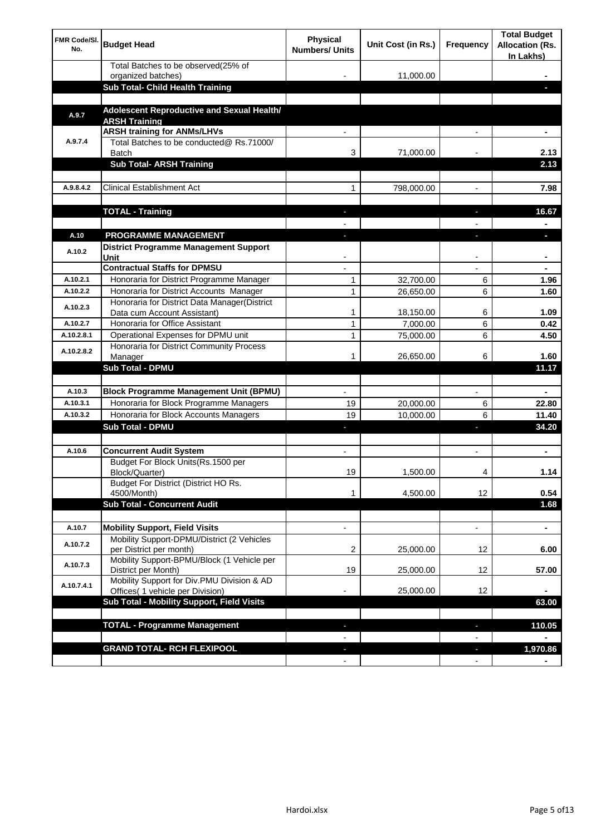| FMR Code/SI.<br>No. | <b>Budget Head</b>                                                                  | <b>Physical</b><br><b>Numbers/ Units</b> | Unit Cost (in Rs.) | Frequency                      | <b>Total Budget</b><br><b>Allocation (Rs.</b><br>In Lakhs) |
|---------------------|-------------------------------------------------------------------------------------|------------------------------------------|--------------------|--------------------------------|------------------------------------------------------------|
|                     | Total Batches to be observed(25% of<br>organized batches)                           |                                          | 11,000.00          |                                |                                                            |
|                     | Sub Total- Child Health Training                                                    |                                          |                    |                                |                                                            |
|                     |                                                                                     |                                          |                    |                                |                                                            |
| A.9.7               | Adolescent Reproductive and Sexual Health/<br><b>ARSH Training</b>                  |                                          |                    |                                |                                                            |
|                     | <b>ARSH training for ANMs/LHVs</b>                                                  |                                          |                    |                                |                                                            |
| A.9.7.4             | Total Batches to be conducted@ Rs.71000/<br>Batch                                   | 3                                        | 71,000.00          |                                | 2.13                                                       |
|                     | <b>Sub Total- ARSH Training</b>                                                     |                                          |                    |                                | 2.13                                                       |
|                     |                                                                                     |                                          |                    |                                |                                                            |
| A.9.8.4.2           | <b>Clinical Establishment Act</b>                                                   | 1                                        | 798,000.00         |                                | 7.98                                                       |
|                     | <b>TOTAL - Training</b>                                                             |                                          |                    |                                | 16.67                                                      |
|                     |                                                                                     |                                          |                    |                                |                                                            |
| A.10                | <b>PROGRAMME MANAGEMENT</b>                                                         |                                          |                    |                                |                                                            |
| A.10.2              | <b>District Programme Management Support</b><br>Unit                                |                                          |                    |                                |                                                            |
|                     | <b>Contractual Staffs for DPMSU</b>                                                 |                                          |                    |                                |                                                            |
| A.10.2.1            | Honoraria for District Programme Manager                                            | 1                                        | 32,700.00          | 6                              | 1.96                                                       |
| A.10.2.2            | Honoraria for District Accounts Manager                                             | 1                                        | 26,650.00          | 6                              | 1.60                                                       |
| A.10.2.3            | Honoraria for District Data Manager(District<br>Data cum Account Assistant)         | 1                                        | 18,150.00          | 6                              | 1.09                                                       |
| A.10.2.7            | Honoraria for Office Assistant                                                      | $\mathbf{1}$                             | 7,000.00           | 6                              | 0.42                                                       |
| A.10.2.8.1          | Operational Expenses for DPMU unit                                                  | 1                                        | 75,000.00          | 6                              | 4.50                                                       |
|                     | Honoraria for District Community Process                                            |                                          |                    |                                |                                                            |
| A.10.2.8.2          | Manager                                                                             | 1                                        | 26,650.00          | 6                              | 1.60                                                       |
|                     | <b>Sub Total - DPMU</b>                                                             |                                          |                    |                                | 11.17                                                      |
|                     |                                                                                     |                                          |                    |                                |                                                            |
| A.10.3              | <b>Block Programme Management Unit (BPMU)</b>                                       | $\overline{\phantom{a}}$                 |                    | $\overline{\phantom{a}}$       | $\blacksquare$                                             |
| A.10.3.1            | Honoraria for Block Programme Managers                                              | 19                                       | 20,000.00          | 6                              | 22.80                                                      |
| A.10.3.2            | Honoraria for Block Accounts Managers<br>Sub Total - DPMU                           | 19                                       | 10,000.00          | 6                              | 11.40<br>34.20                                             |
|                     |                                                                                     | ٠                                        |                    | J,                             |                                                            |
| A.10.6              | <b>Concurrent Audit System</b>                                                      | $\blacksquare$                           |                    | $\blacksquare$                 | ۰                                                          |
|                     | Budget For Block Units(Rs.1500 per<br>Block/Quarter)                                | 19                                       | 1,500.00           | 4                              | 1.14                                                       |
|                     | Budget For District (District HO Rs.                                                |                                          |                    |                                |                                                            |
|                     | 4500/Month)                                                                         | 1                                        | 4,500.00           | 12                             | 0.54                                                       |
|                     | <b>Sub Total - Concurrent Audit</b>                                                 |                                          |                    |                                | 1.68                                                       |
|                     |                                                                                     |                                          |                    |                                |                                                            |
| A.10.7<br>A.10.7.2  | <b>Mobility Support, Field Visits</b><br>Mobility Support-DPMU/District (2 Vehicles | $\overline{\phantom{a}}$                 |                    | $\overline{\phantom{a}}$<br>12 | $\blacksquare$                                             |
|                     | per District per month)<br>Mobility Support-BPMU/Block (1 Vehicle per               | 2                                        | 25,000.00          |                                | 6.00                                                       |
| A.10.7.3            | District per Month)<br>Mobility Support for Div.PMU Division & AD                   | 19                                       | 25,000.00          | 12                             | 57.00                                                      |
| A.10.7.4.1          | Offices( 1 vehicle per Division)                                                    |                                          | 25,000.00          | 12                             |                                                            |
|                     | Sub Total - Mobility Support, Field Visits                                          |                                          |                    |                                | 63.00                                                      |
|                     |                                                                                     |                                          |                    |                                |                                                            |
|                     | <b>TOTAL - Programme Management</b>                                                 |                                          |                    | r.                             | 110.05                                                     |
|                     |                                                                                     |                                          |                    |                                |                                                            |
|                     | <b>GRAND TOTAL- RCH FLEXIPOOL</b>                                                   |                                          |                    | H,                             | 1,970.86                                                   |
|                     |                                                                                     | $\overline{\phantom{a}}$                 |                    | $\overline{\phantom{a}}$       |                                                            |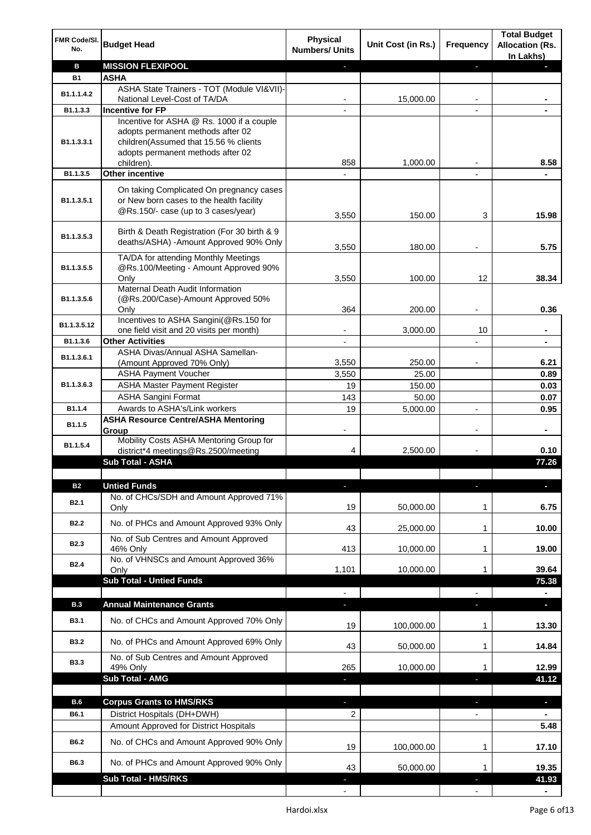| FMR Code/SI.<br>No. | <b>Budget Head</b>                                                                                                          | <b>Physical</b><br><b>Numbers/ Units</b> | Unit Cost (in Rs.) | Frequency                | <b>Total Budget</b><br><b>Allocation (Rs.</b><br>In Lakhs) |
|---------------------|-----------------------------------------------------------------------------------------------------------------------------|------------------------------------------|--------------------|--------------------------|------------------------------------------------------------|
| в                   | <b>MISSION FLEXIPOOL</b>                                                                                                    |                                          |                    | ÷.                       |                                                            |
| <b>B1</b>           | <b>ASHA</b>                                                                                                                 |                                          |                    |                          |                                                            |
| B1.1.1.4.2          | ASHA State Trainers - TOT (Module VI&VII)-                                                                                  |                                          |                    |                          |                                                            |
|                     | National Level-Cost of TA/DA<br><b>Incentive for FP</b>                                                                     |                                          | 15,000.00          |                          |                                                            |
| B1.1.3.3            | Incentive for ASHA @ Rs. 1000 if a couple                                                                                   |                                          |                    |                          |                                                            |
| B1.1.3.3.1          | adopts permanent methods after 02<br>children(Assumed that 15.56 % clients<br>adopts permanent methods after 02             |                                          |                    |                          |                                                            |
|                     | children).                                                                                                                  | 858                                      | 1,000.00           |                          | 8.58                                                       |
| B1.1.3.5            | <b>Other incentive</b>                                                                                                      |                                          |                    |                          |                                                            |
| B1.1.3.5.1          | On taking Complicated On pregnancy cases<br>or New born cases to the health facility<br>@Rs.150/- case (up to 3 cases/year) | 3,550                                    | 150.00             | 3                        | 15.98                                                      |
| B1.1.3.5.3          | Birth & Death Registration (For 30 birth & 9<br>deaths/ASHA) -Amount Approved 90% Only                                      | 3,550                                    | 180.00             |                          | 5.75                                                       |
| B1.1.3.5.5          | TA/DA for attending Monthly Meetings<br>@Rs.100/Meeting - Amount Approved 90%<br>Only                                       | 3,550                                    | 100.00             | 12                       | 38.34                                                      |
|                     | Maternal Death Audit Information                                                                                            |                                          |                    |                          |                                                            |
| B1.1.3.5.6          | (@Rs.200/Case)-Amount Approved 50%                                                                                          |                                          |                    |                          |                                                            |
|                     | Only                                                                                                                        | 364                                      | 200.00             |                          | 0.36                                                       |
| B1.1.3.5.12         | Incentives to ASHA Sangini(@Rs.150 for                                                                                      |                                          |                    |                          |                                                            |
| B1.1.3.6            | one field visit and 20 visits per month)<br><b>Other Activities</b>                                                         |                                          | 3,000.00           | 10                       |                                                            |
|                     | ASHA Divas/Annual ASHA Samellan-                                                                                            |                                          |                    |                          |                                                            |
| B1.1.3.6.1          | (Amount Approved 70% Only)                                                                                                  | 3,550                                    | 250.00             |                          | 6.21                                                       |
|                     | <b>ASHA Payment Voucher</b>                                                                                                 | 3,550                                    | 25.00              |                          | 0.89                                                       |
| B1.1.3.6.3          | <b>ASHA Master Payment Register</b>                                                                                         | 19                                       | 150.00             |                          | 0.03                                                       |
|                     | <b>ASHA Sangini Format</b>                                                                                                  | 143                                      | 50.00              |                          | 0.07                                                       |
| B1.1.4              | Awards to ASHA's/Link workers                                                                                               | 19                                       | 5,000.00           | $\blacksquare$           | 0.95                                                       |
| B1.1.5              | <b>ASHA Resource Centre/ASHA Mentoring</b><br>Group                                                                         | $\overline{\phantom{a}}$                 |                    | $\overline{\phantom{a}}$ | $\blacksquare$                                             |
| B1.1.5.4            | Mobility Costs ASHA Mentoring Group for<br>district*4 meetings@Rs.2500/meeting                                              | 4                                        | 2,500.00           |                          | 0.10                                                       |
|                     | <b>Sub Total - ASHA</b>                                                                                                     |                                          |                    |                          | 77.26                                                      |
|                     |                                                                                                                             |                                          |                    |                          |                                                            |
| <b>B2</b>           | <b>Untied Funds</b>                                                                                                         |                                          |                    |                          |                                                            |
| <b>B2.1</b>         | No. of CHCs/SDH and Amount Approved 71%<br>Only                                                                             | 19                                       | 50,000.00          | 1                        | 6.75                                                       |
| <b>B2.2</b>         | No. of PHCs and Amount Approved 93% Only                                                                                    | 43                                       | 25,000.00          | 1                        | 10.00                                                      |
| B <sub>2.3</sub>    | No. of Sub Centres and Amount Approved                                                                                      |                                          |                    |                          |                                                            |
|                     | 46% Only                                                                                                                    | 413                                      | 10,000.00          | 1                        | 19.00                                                      |
| <b>B2.4</b>         | No. of VHNSCs and Amount Approved 36%<br>Only                                                                               | 1,101                                    | 10,000.00          | 1                        | 39.64                                                      |
|                     | <b>Sub Total - Untied Funds</b>                                                                                             |                                          |                    |                          | 75.38                                                      |
|                     |                                                                                                                             |                                          |                    |                          |                                                            |
| <b>B.3</b>          | <b>Annual Maintenance Grants</b>                                                                                            | ÷,                                       |                    | T                        | o.                                                         |
| <b>B3.1</b>         | No. of CHCs and Amount Approved 70% Only                                                                                    | 19                                       | 100,000.00         | 1                        | 13.30                                                      |
| <b>B3.2</b>         | No. of PHCs and Amount Approved 69% Only                                                                                    | 43                                       | 50,000.00          | 1                        | 14.84                                                      |
| <b>B3.3</b>         | No. of Sub Centres and Amount Approved                                                                                      |                                          |                    |                          |                                                            |
|                     | 49% Only                                                                                                                    | 265                                      | 10,000.00          | 1                        | 12.99                                                      |
|                     | Sub Total - AMG                                                                                                             |                                          |                    |                          | 41.12                                                      |
| B.6                 | <b>Corpus Grants to HMS/RKS</b>                                                                                             | ٠                                        |                    | ٠                        | ٠                                                          |
| B6.1                | District Hospitals (DH+DWH)                                                                                                 | 2                                        |                    |                          |                                                            |
|                     | Amount Approved for District Hospitals                                                                                      |                                          |                    |                          | 5.48                                                       |
|                     |                                                                                                                             |                                          |                    |                          |                                                            |
| B6.2                | No. of CHCs and Amount Approved 90% Only                                                                                    | 19                                       | 100,000.00         | 1                        | 17.10                                                      |
| B6.3                | No. of PHCs and Amount Approved 90% Only                                                                                    | 43                                       | 50,000.00          | 1                        | 19.35                                                      |
|                     | Sub Total - HMS/RKS                                                                                                         |                                          |                    |                          | 41.93                                                      |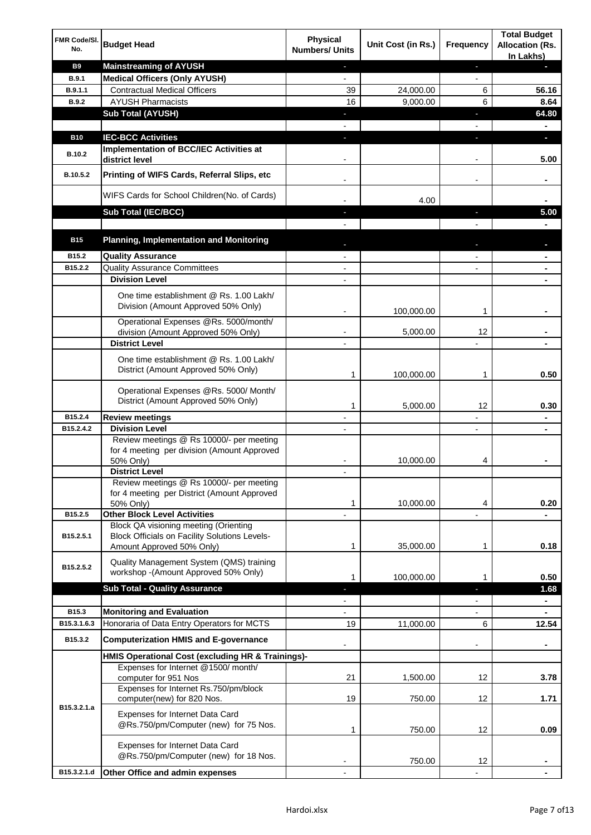| FMR Code/SI.<br>No.  | <b>Budget Head</b>                                                                                                         | <b>Physical</b><br><b>Numbers/ Units</b> | Unit Cost (in Rs.) | Frequency                | <b>Total Budget</b><br><b>Allocation (Rs.</b><br>In Lakhs) |
|----------------------|----------------------------------------------------------------------------------------------------------------------------|------------------------------------------|--------------------|--------------------------|------------------------------------------------------------|
| <b>B9</b>            | <b>Mainstreaming of AYUSH</b>                                                                                              | $\blacksquare$                           |                    | ٠                        | н                                                          |
| B.9.1                | <b>Medical Officers (Only AYUSH)</b>                                                                                       | $\overline{\phantom{a}}$                 |                    | $\overline{\phantom{a}}$ |                                                            |
| B.9.1.1              | <b>Contractual Medical Officers</b>                                                                                        | 39                                       | 24,000.00          | 6                        | 56.16                                                      |
| <b>B.9.2</b>         | <b>AYUSH Pharmacists</b>                                                                                                   | 16                                       | 9,000.00           | 6                        | 8.64                                                       |
|                      | <b>Sub Total (AYUSH)</b>                                                                                                   | ٠                                        |                    | ÷.                       | 64.80                                                      |
|                      |                                                                                                                            |                                          |                    |                          |                                                            |
| <b>B10</b>           | <b>IEC-BCC Activities</b><br>Implementation of BCC/IEC Activities at                                                       | J,                                       |                    | ı                        | O.                                                         |
| <b>B.10.2</b>        | district level                                                                                                             |                                          |                    |                          | 5.00                                                       |
| B.10.5.2             | Printing of WIFS Cards, Referral Slips, etc                                                                                | $\overline{\phantom{a}}$                 |                    | $\overline{\phantom{a}}$ |                                                            |
|                      | WIFS Cards for School Children(No. of Cards)                                                                               |                                          | 4.00               |                          |                                                            |
|                      | Sub Total (IEC/BCC)                                                                                                        |                                          |                    |                          | 5.00                                                       |
|                      |                                                                                                                            |                                          |                    |                          |                                                            |
| <b>B15</b>           | <b>Planning, Implementation and Monitoring</b>                                                                             |                                          |                    |                          |                                                            |
| B15.2                | <b>Quality Assurance</b>                                                                                                   |                                          |                    |                          | ۰                                                          |
| B15.2.2              | <b>Quality Assurance Committees</b><br><b>Division Level</b>                                                               |                                          |                    |                          | ۰                                                          |
|                      | One time establishment @ Rs. 1.00 Lakh/<br>Division (Amount Approved 50% Only)                                             | $\overline{\phantom{a}}$                 | 100,000.00         | 1                        |                                                            |
|                      | Operational Expenses @Rs. 5000/month/                                                                                      |                                          |                    |                          |                                                            |
|                      | division (Amount Approved 50% Only)                                                                                        |                                          | 5,000.00           | 12                       |                                                            |
|                      | <b>District Level</b>                                                                                                      |                                          |                    |                          |                                                            |
|                      | One time establishment @ Rs. 1.00 Lakh/<br>District (Amount Approved 50% Only)                                             | 1                                        | 100,000.00         | 1                        | 0.50                                                       |
|                      | Operational Expenses @Rs. 5000/ Month/<br>District (Amount Approved 50% Only)                                              | 1                                        | 5,000.00           | 12                       | 0.30                                                       |
| B15.2.4              | <b>Review meetings</b>                                                                                                     | $\overline{\phantom{a}}$                 |                    | $\overline{\phantom{a}}$ | ٠                                                          |
| B15.2.4.2            | <b>Division Level</b>                                                                                                      |                                          |                    | $\overline{\phantom{a}}$ | ٠                                                          |
|                      | Review meetings @ Rs 10000/- per meeting<br>for 4 meeting per division (Amount Approved<br>50% Only)                       |                                          | 10,000.00          | 4                        |                                                            |
|                      | <b>District Level</b>                                                                                                      |                                          |                    |                          |                                                            |
|                      | Review meetings @ Rs 10000/- per meeting<br>for 4 meeting per District (Amount Approved<br>50% Only)                       | 1                                        | 10,000.00          | 4                        | 0.20                                                       |
| B15.2.5              | <b>Other Block Level Activities</b>                                                                                        |                                          |                    |                          |                                                            |
| B15.2.5.1            | Block QA visioning meeting (Orienting<br><b>Block Officials on Facility Solutions Levels-</b><br>Amount Approved 50% Only) | 1                                        | 35,000.00          | 1                        | 0.18                                                       |
| B15.2.5.2            | Quality Management System (QMS) training<br>workshop - (Amount Approved 50% Only)                                          | 1                                        | 100,000.00         | 1                        | 0.50                                                       |
|                      | <b>Sub Total - Quality Assurance</b>                                                                                       | н                                        |                    | r                        | 1.68                                                       |
|                      |                                                                                                                            |                                          |                    |                          | ۰                                                          |
| B15.3<br>B15.3.1.6.3 | <b>Monitoring and Evaluation</b><br>Honoraria of Data Entry Operators for MCTS                                             |                                          |                    |                          |                                                            |
|                      |                                                                                                                            | 19                                       | 11,000.00          | 6                        | 12.54                                                      |
| B15.3.2              | <b>Computerization HMIS and E-governance</b>                                                                               |                                          |                    |                          |                                                            |
|                      | HMIS Operational Cost (excluding HR & Trainings)-<br>Expenses for Internet @1500/month/                                    |                                          |                    |                          |                                                            |
|                      | computer for 951 Nos                                                                                                       | 21                                       | 1,500.00           | 12                       | 3.78                                                       |
|                      | Expenses for Internet Rs.750/pm/block<br>computer(new) for 820 Nos.                                                        | 19                                       | 750.00             | 12                       | 1.71                                                       |
| B15.3.2.1.a          | Expenses for Internet Data Card<br>@Rs.750/pm/Computer (new) for 75 Nos.                                                   | 1                                        | 750.00             | 12                       | 0.09                                                       |
|                      | Expenses for Internet Data Card<br>@Rs.750/pm/Computer (new) for 18 Nos.                                                   |                                          | 750.00             | 12                       |                                                            |
| B15.3.2.1.d          | Other Office and admin expenses                                                                                            |                                          |                    |                          |                                                            |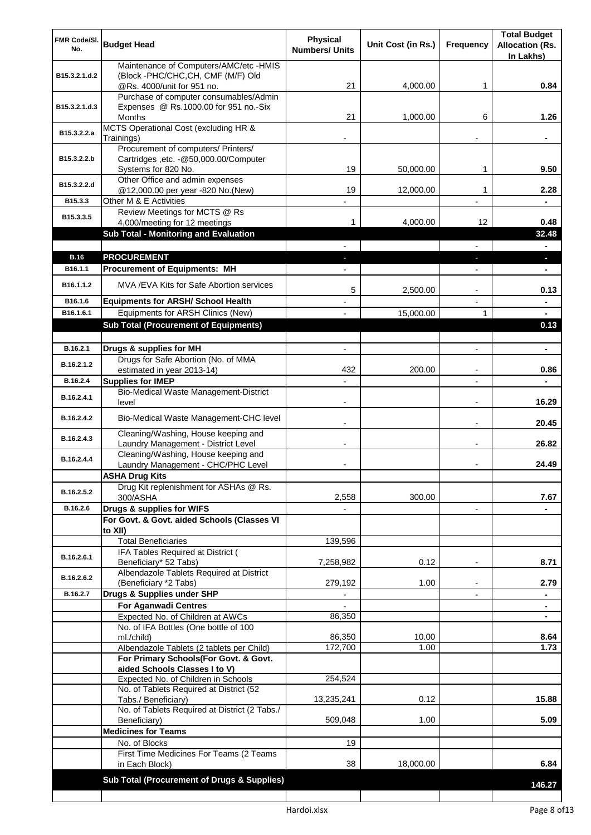| FMR Code/SI.<br>No. | <b>Budget Head</b>                                                                | <b>Physical</b><br><b>Numbers/ Units</b> | Unit Cost (in Rs.) | Frequency                | <b>Total Budget</b><br><b>Allocation (Rs.</b><br>In Lakhs) |
|---------------------|-----------------------------------------------------------------------------------|------------------------------------------|--------------------|--------------------------|------------------------------------------------------------|
| B15.3.2.1.d.2       | Maintenance of Computers/AMC/etc -HMIS<br>(Block -PHC/CHC, CH, CMF (M/F) Old      |                                          |                    |                          |                                                            |
|                     | @Rs. 4000/unit for 951 no.<br>Purchase of computer consumables/Admin              | 21                                       | 4,000.00           | 1                        | 0.84                                                       |
| B15.3.2.1.d.3       | Expenses @ Rs.1000.00 for 951 no.-Six<br>Months                                   | 21                                       | 1,000.00           | 6                        | 1.26                                                       |
| B15.3.2.2.a         | MCTS Operational Cost (excluding HR &<br>Trainings)                               |                                          |                    |                          |                                                            |
|                     | Procurement of computers/ Printers/                                               |                                          |                    |                          |                                                            |
| B15.3.2.2.b         | Cartridges , etc. - @50,000.00/Computer<br>Systems for 820 No.                    | 19                                       | 50,000.00          | 1                        | 9.50                                                       |
| B15.3.2.2.d         | Other Office and admin expenses<br>@12,000.00 per year -820 No.(New)              | 19                                       | 12,000.00          | 1                        | 2.28                                                       |
| B15.3.3             | Other M & E Activities                                                            |                                          |                    |                          |                                                            |
| B15.3.3.5           | Review Meetings for MCTS @ Rs<br>4,000/meeting for 12 meetings                    | 1.                                       | 4,000.00           | 12                       | 0.48                                                       |
|                     | <b>Sub Total - Monitoring and Evaluation</b>                                      |                                          |                    |                          | 32.48                                                      |
|                     |                                                                                   |                                          |                    | $\overline{\phantom{0}}$ | $\blacksquare$                                             |
| <b>B.16</b>         | <b>PROCUREMENT</b>                                                                | ٠                                        |                    | ٠                        | $\overline{\phantom{a}}$                                   |
| B16.1.1             | <b>Procurement of Equipments: MH</b>                                              |                                          |                    | $\overline{\phantom{a}}$ | $\blacksquare$                                             |
| B16.1.1.2           | MVA/EVA Kits for Safe Abortion services                                           | 5                                        | 2,500.00           |                          | 0.13                                                       |
| B16.1.6             | <b>Equipments for ARSH/ School Health</b>                                         |                                          |                    |                          |                                                            |
| B16.1.6.1           | Equipments for ARSH Clinics (New)<br><b>Sub Total (Procurement of Equipments)</b> |                                          | 15,000.00          | 1                        | 0.13                                                       |
|                     |                                                                                   |                                          |                    |                          |                                                            |
| B.16.2.1            | Drugs & supplies for MH                                                           |                                          |                    |                          |                                                            |
| B.16.2.1.2          | Drugs for Safe Abortion (No. of MMA                                               |                                          |                    |                          |                                                            |
| B.16.2.4            | estimated in year 2013-14)<br><b>Supplies for IMEP</b>                            | 432                                      | 200.00             |                          | 0.86                                                       |
| B.16.2.4.1          | Bio-Medical Waste Management-District                                             |                                          |                    |                          |                                                            |
|                     | level                                                                             |                                          |                    |                          | 16.29                                                      |
| B.16.2.4.2          | Bio-Medical Waste Management-CHC level                                            |                                          |                    |                          | 20.45                                                      |
| B.16.2.4.3          | Cleaning/Washing, House keeping and<br>Laundry Management - District Level        |                                          |                    |                          | 26.82                                                      |
| B.16.2.4.4          | Cleaning/Washing, House keeping and<br>Laundry Management - CHC/PHC Level         |                                          |                    |                          | 24.49                                                      |
|                     | <b>ASHA Drug Kits</b>                                                             |                                          |                    |                          |                                                            |
| B.16.2.5.2          | Drug Kit replenishment for ASHAs @ Rs.<br>300/ASHA                                | 2,558                                    | 300.00             |                          | 7.67                                                       |
| B.16.2.6            | Drugs & supplies for WIFS                                                         |                                          |                    | $\blacksquare$           |                                                            |
|                     | For Govt. & Govt. aided Schools (Classes VI                                       |                                          |                    |                          |                                                            |
|                     | to XII)<br><b>Total Beneficiaries</b>                                             | 139,596                                  |                    |                          |                                                            |
| B.16.2.6.1          | IFA Tables Required at District (                                                 |                                          |                    |                          |                                                            |
|                     | Beneficiary* 52 Tabs)                                                             | 7,258,982                                | 0.12               | $\overline{\phantom{0}}$ | 8.71                                                       |
| B.16.2.6.2          | Albendazole Tablets Required at District<br>(Beneficiary *2 Tabs)                 | 279,192                                  | 1.00               |                          | 2.79                                                       |
| B.16.2.7            | Drugs & Supplies under SHP                                                        |                                          |                    |                          |                                                            |
|                     | For Aganwadi Centres                                                              |                                          |                    |                          | ٠                                                          |
|                     | Expected No. of Children at AWCs<br>No. of IFA Bottles (One bottle of 100         | 86,350                                   |                    |                          |                                                            |
|                     | ml./child)                                                                        | 86,350                                   | 10.00              |                          | 8.64                                                       |
|                     | Albendazole Tablets (2 tablets per Child)                                         | 172,700                                  | 1.00               |                          | 1.73                                                       |
|                     | For Primary Schools(For Govt. & Govt.<br>aided Schools Classes I to V)            |                                          |                    |                          |                                                            |
|                     | Expected No. of Children in Schools                                               | 254,524                                  |                    |                          |                                                            |
|                     | No. of Tablets Required at District (52<br>Tabs./ Beneficiary)                    | 13,235,241                               | 0.12               |                          | 15.88                                                      |
|                     | No. of Tablets Required at District (2 Tabs./                                     |                                          |                    |                          |                                                            |
|                     | Beneficiary)                                                                      | 509,048                                  | 1.00               |                          | 5.09                                                       |
|                     | <b>Medicines for Teams</b>                                                        |                                          |                    |                          |                                                            |
|                     | No. of Blocks<br>First Time Medicines For Teams (2 Teams                          | 19                                       |                    |                          |                                                            |
|                     | in Each Block)                                                                    | 38                                       | 18,000.00          |                          | 6.84                                                       |
|                     | Sub Total (Procurement of Drugs & Supplies)                                       |                                          |                    |                          | 146.27                                                     |
|                     |                                                                                   |                                          |                    |                          |                                                            |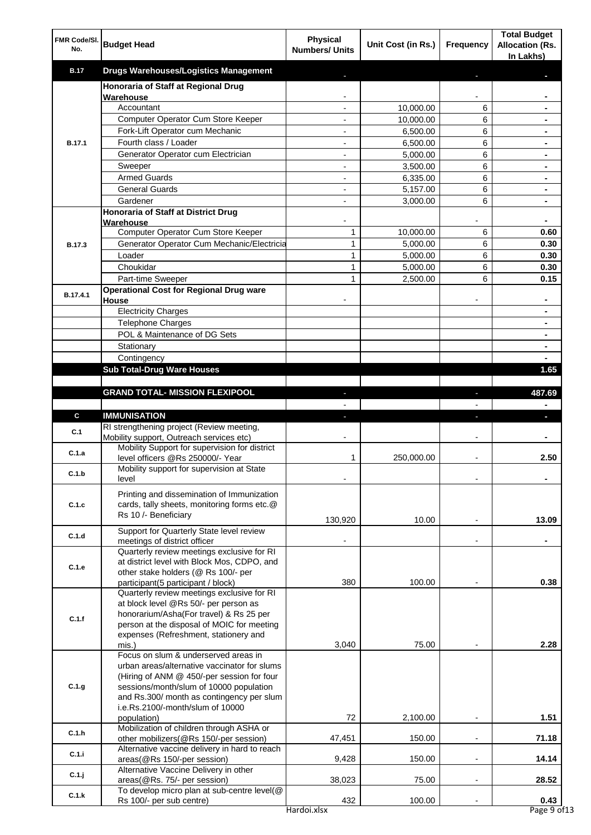| FMR Code/SI.<br>No. | <b>Budget Head</b>                                                                                                                                                                                                                                             | <b>Physical</b><br><b>Numbers/ Units</b>   | Unit Cost (in Rs.)    | Frequency                | <b>Total Budget</b><br><b>Allocation (Rs.</b><br>In Lakhs) |
|---------------------|----------------------------------------------------------------------------------------------------------------------------------------------------------------------------------------------------------------------------------------------------------------|--------------------------------------------|-----------------------|--------------------------|------------------------------------------------------------|
| <b>B.17</b>         | <b>Drugs Warehouses/Logistics Management</b>                                                                                                                                                                                                                   |                                            |                       |                          |                                                            |
|                     | Honoraria of Staff at Regional Drug                                                                                                                                                                                                                            |                                            |                       |                          |                                                            |
|                     | Warehouse                                                                                                                                                                                                                                                      |                                            |                       |                          |                                                            |
|                     | Accountant                                                                                                                                                                                                                                                     | $\overline{a}$                             | 10,000.00             | 6                        |                                                            |
|                     | Computer Operator Cum Store Keeper<br>Fork-Lift Operator cum Mechanic                                                                                                                                                                                          | $\overline{\phantom{a}}$<br>$\blacksquare$ | 10,000.00<br>6,500.00 | 6<br>6                   | $\blacksquare$                                             |
| <b>B.17.1</b>       | Fourth class / Loader                                                                                                                                                                                                                                          | $\blacksquare$                             | 6,500.00              | 6                        | $\blacksquare$                                             |
|                     | Generator Operator cum Electrician                                                                                                                                                                                                                             | $\overline{a}$                             | 5,000.00              | 6                        | ٠                                                          |
|                     | Sweeper                                                                                                                                                                                                                                                        |                                            | 3,500.00              | 6                        |                                                            |
|                     | <b>Armed Guards</b>                                                                                                                                                                                                                                            |                                            | 6,335.00              | 6                        |                                                            |
|                     | <b>General Guards</b>                                                                                                                                                                                                                                          |                                            | 5,157.00              | 6                        |                                                            |
|                     | Gardener                                                                                                                                                                                                                                                       |                                            | 3,000.00              | 6                        |                                                            |
|                     | Honoraria of Staff at District Drug                                                                                                                                                                                                                            |                                            |                       |                          | $\blacksquare$                                             |
|                     | Warehouse<br>Computer Operator Cum Store Keeper                                                                                                                                                                                                                | 1                                          | 10,000.00             | 6                        | 0.60                                                       |
| <b>B.17.3</b>       | Generator Operator Cum Mechanic/Electricia                                                                                                                                                                                                                     | $\mathbf{1}$                               | 5,000.00              | 6                        | 0.30                                                       |
|                     | Loader                                                                                                                                                                                                                                                         | 1                                          | 5,000.00              | 6                        | 0.30                                                       |
|                     | Choukidar                                                                                                                                                                                                                                                      | 1                                          | 5,000.00              | 6                        | 0.30                                                       |
|                     | Part-time Sweeper                                                                                                                                                                                                                                              | 1                                          | 2,500.00              | 6                        | 0.15                                                       |
| B.17.4.1            | <b>Operational Cost for Regional Drug ware</b>                                                                                                                                                                                                                 |                                            |                       |                          |                                                            |
|                     | House<br><b>Electricity Charges</b>                                                                                                                                                                                                                            |                                            |                       |                          |                                                            |
|                     | <b>Telephone Charges</b>                                                                                                                                                                                                                                       |                                            |                       |                          | $\blacksquare$                                             |
|                     | POL & Maintenance of DG Sets                                                                                                                                                                                                                                   |                                            |                       |                          | $\blacksquare$                                             |
|                     | Stationary                                                                                                                                                                                                                                                     |                                            |                       |                          | $\blacksquare$                                             |
|                     | Contingency                                                                                                                                                                                                                                                    |                                            |                       |                          | $\blacksquare$                                             |
|                     | <b>Sub Total-Drug Ware Houses</b>                                                                                                                                                                                                                              |                                            |                       |                          | 1.65                                                       |
|                     |                                                                                                                                                                                                                                                                |                                            |                       |                          |                                                            |
|                     | <b>GRAND TOTAL- MISSION FLEXIPOOL</b>                                                                                                                                                                                                                          | J.                                         |                       | ÷                        | 487.69                                                     |
|                     |                                                                                                                                                                                                                                                                |                                            |                       |                          | $\blacksquare$                                             |
| C                   | <b>IMMUNISATION</b><br>RI strengthening project (Review meeting,                                                                                                                                                                                               | ÷,                                         |                       | ı                        | J,                                                         |
| C.1                 | Mobility support, Outreach services etc)                                                                                                                                                                                                                       |                                            |                       |                          |                                                            |
| C.1.a               | Mobility Support for supervision for district                                                                                                                                                                                                                  |                                            |                       |                          |                                                            |
|                     | level officers @Rs 250000/- Year                                                                                                                                                                                                                               | 1                                          | 250,000.00            | $\overline{\phantom{a}}$ | 2.50                                                       |
| C.1.b               | Mobility support for supervision at State                                                                                                                                                                                                                      |                                            |                       |                          |                                                            |
|                     | level                                                                                                                                                                                                                                                          |                                            |                       |                          |                                                            |
| C.1.c               | Printing and dissemination of Immunization<br>cards, tally sheets, monitoring forms etc.@<br>Rs 10 /- Beneficiary                                                                                                                                              | 130,920                                    | 10.00                 |                          | 13.09                                                      |
| C.1.d               | Support for Quarterly State level review                                                                                                                                                                                                                       |                                            |                       |                          |                                                            |
|                     | meetings of district officer                                                                                                                                                                                                                                   |                                            |                       |                          |                                                            |
| C.1.e               | Quarterly review meetings exclusive for RI<br>at district level with Block Mos, CDPO, and<br>other stake holders (@ Rs 100/- per<br>participant(5 participant / block)                                                                                         | 380                                        | 100.00                |                          | 0.38                                                       |
| C.1.f               | Quarterly review meetings exclusive for RI<br>at block level @Rs 50/- per person as<br>honorarium/Asha(For travel) & Rs 25 per<br>person at the disposal of MOIC for meeting<br>expenses (Refreshment, stationery and                                          |                                            |                       |                          |                                                            |
|                     | mis.)                                                                                                                                                                                                                                                          | 3,040                                      | 75.00                 |                          | 2.28                                                       |
| C.1.g               | Focus on slum & underserved areas in<br>urban areas/alternative vaccinator for slums<br>(Hiring of ANM @ 450/-per session for four<br>sessions/month/slum of 10000 population<br>and Rs.300/ month as contingency per slum<br>i.e.Rs.2100/-month/slum of 10000 |                                            |                       |                          |                                                            |
|                     | population)                                                                                                                                                                                                                                                    | 72                                         | 2,100.00              |                          | 1.51                                                       |
| C.1.h               | Mobilization of children through ASHA or                                                                                                                                                                                                                       |                                            |                       |                          |                                                            |
|                     | other mobilizers(@Rs 150/-per session)                                                                                                                                                                                                                         | 47,451                                     | 150.00                | $\blacksquare$           | 71.18                                                      |
| C.1.i               | Alternative vaccine delivery in hard to reach<br>areas(@Rs 150/-per session)<br>Alternative Vaccine Delivery in other                                                                                                                                          | 9,428                                      | 150.00                |                          | 14.14                                                      |
| $C.1.$ j            | areas(@Rs. 75/- per session)                                                                                                                                                                                                                                   | 38,023                                     | 75.00                 | $\blacksquare$           | 28.52                                                      |
| C.1.k               | To develop micro plan at sub-centre level(@<br>Rs 100/- per sub centre)                                                                                                                                                                                        | 432<br>Hardoi.xlsx                         | 100.00                |                          | 0.43<br>Page 9 of 13                                       |
|                     |                                                                                                                                                                                                                                                                |                                            |                       |                          |                                                            |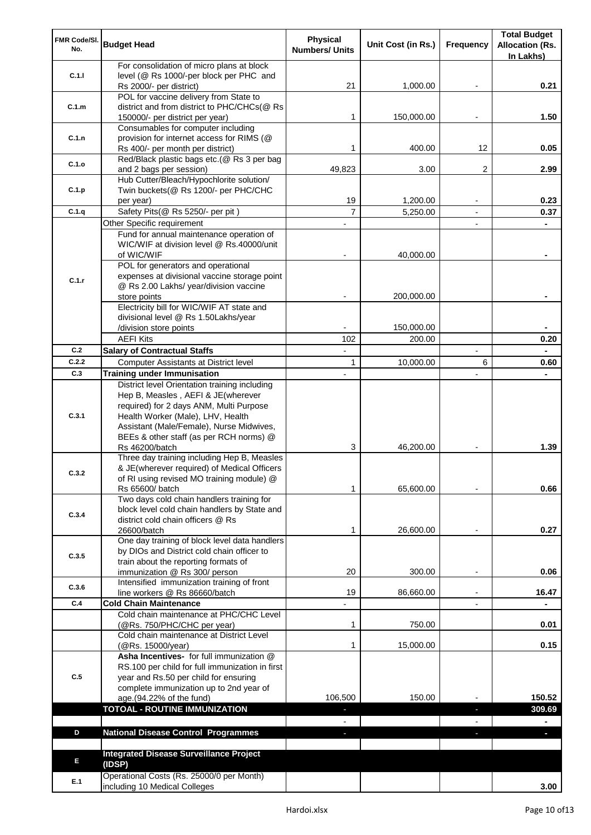| FMR Code/SI.            | <b>Budget Head</b>                                                                     | <b>Physical</b>       | Unit Cost (in Rs.) | Frequency      | <b>Total Budget</b><br><b>Allocation (Rs.</b> |
|-------------------------|----------------------------------------------------------------------------------------|-----------------------|--------------------|----------------|-----------------------------------------------|
| No.                     |                                                                                        | <b>Numbers/ Units</b> |                    |                | In Lakhs)                                     |
|                         | For consolidation of micro plans at block                                              |                       |                    |                |                                               |
| C.1.1                   | level (@ Rs 1000/-per block per PHC and                                                |                       |                    |                |                                               |
|                         | Rs 2000/- per district)                                                                | 21                    | 1,000.00           |                | 0.21                                          |
|                         | POL for vaccine delivery from State to<br>district and from district to PHC/CHCs(@ Rs  |                       |                    |                |                                               |
| C.1.m                   | 150000/- per district per year)                                                        | 1                     | 150,000.00         |                | 1.50                                          |
|                         | Consumables for computer including                                                     |                       |                    |                |                                               |
| C.1.n                   | provision for internet access for RIMS (@                                              |                       |                    |                |                                               |
|                         | Rs 400/- per month per district)                                                       | 1                     | 400.00             | 12             | 0.05                                          |
| C.1.o                   | Red/Black plastic bags etc.(@ Rs 3 per bag                                             |                       |                    |                |                                               |
|                         | and 2 bags per session)                                                                | 49,823                | 3.00               | 2              | 2.99                                          |
| C.1.p                   | Hub Cutter/Bleach/Hypochlorite solution/<br>Twin buckets(@ Rs 1200/- per PHC/CHC       |                       |                    |                |                                               |
|                         | per year)                                                                              | 19                    | 1,200.00           |                | 0.23                                          |
| C.1.q                   | Safety Pits(@ Rs 5250/- per pit)                                                       | $\overline{7}$        | 5,250.00           | $\overline{a}$ | 0.37                                          |
|                         | Other Specific requirement                                                             |                       |                    |                |                                               |
|                         | Fund for annual maintenance operation of                                               |                       |                    |                |                                               |
|                         | WIC/WIF at division level @ Rs.40000/unit                                              |                       |                    |                |                                               |
|                         | of WIC/WIF                                                                             |                       | 40,000.00          |                |                                               |
|                         | POL for generators and operational                                                     |                       |                    |                |                                               |
| C.1.r                   | expenses at divisional vaccine storage point<br>@ Rs 2.00 Lakhs/ year/division vaccine |                       |                    |                |                                               |
|                         | store points                                                                           |                       | 200,000.00         |                |                                               |
|                         | Electricity bill for WIC/WIF AT state and                                              |                       |                    |                |                                               |
|                         | divisional level @ Rs 1.50Lakhs/year                                                   |                       |                    |                |                                               |
|                         | /division store points                                                                 |                       | 150,000.00         |                |                                               |
|                         | <b>AEFI Kits</b>                                                                       | 102                   | 200.00             |                | 0.20                                          |
| C.2                     | <b>Salary of Contractual Staffs</b>                                                    |                       |                    |                |                                               |
| C.2.2                   | Computer Assistants at District level                                                  | 1                     | 10,000.00          | 6              | 0.60                                          |
| C.3                     | <b>Training under Immunisation</b>                                                     |                       |                    |                |                                               |
|                         | District level Orientation training including                                          |                       |                    |                |                                               |
|                         | Hep B, Measles, AEFI & JE(wherever<br>required) for 2 days ANM, Multi Purpose          |                       |                    |                |                                               |
|                         | Health Worker (Male), LHV, Health                                                      |                       |                    |                |                                               |
|                         | Assistant (Male/Female), Nurse Midwives,                                               |                       |                    |                |                                               |
|                         | BEEs & other staff (as per RCH norms) @                                                |                       |                    |                |                                               |
|                         | Rs 46200/batch                                                                         | 3                     | 46,200.00          |                | 1.39                                          |
|                         | Three day training including Hep B, Measles                                            |                       |                    |                |                                               |
| C.3.2                   | & JE(wherever required) of Medical Officers                                            |                       |                    |                |                                               |
|                         | of RI using revised MO training module) @                                              | 1                     | 65,600.00          |                | 0.66                                          |
|                         | Rs 65600/ batch<br>Two days cold chain handlers training for                           |                       |                    |                |                                               |
|                         | block level cold chain handlers by State and                                           |                       |                    |                |                                               |
|                         | district cold chain officers @ Rs                                                      |                       |                    |                |                                               |
|                         | 26600/batch                                                                            | 1                     | 26,600.00          |                | 0.27                                          |
|                         | One day training of block level data handlers                                          |                       |                    |                |                                               |
| C.3.5                   | by DIOs and District cold chain officer to                                             |                       |                    |                |                                               |
| C.3.1<br>C.3.4<br>C.3.6 | train about the reporting formats of<br>immunization @ Rs 300/ person                  | 20                    | 300.00             |                | 0.06                                          |
|                         | Intensified immunization training of front                                             |                       |                    |                |                                               |
|                         | line workers @ Rs 86660/batch                                                          | 19                    | 86,660.00          |                | 16.47                                         |
| C.4                     | <b>Cold Chain Maintenance</b>                                                          |                       |                    |                |                                               |
|                         | Cold chain maintenance at PHC/CHC Level                                                |                       |                    |                |                                               |
|                         | (@Rs. 750/PHC/CHC per year)                                                            | 1                     | 750.00             |                | 0.01                                          |
|                         | Cold chain maintenance at District Level                                               |                       |                    |                |                                               |
|                         | (@Rs. 15000/year)<br>Asha Incentives- for full immunization @                          | 1                     | 15,000.00          |                | 0.15                                          |
|                         | RS.100 per child for full immunization in first                                        |                       |                    |                |                                               |
| C.5                     | year and Rs.50 per child for ensuring                                                  |                       |                    |                |                                               |
|                         | complete immunization up to 2nd year of                                                |                       |                    |                |                                               |
|                         | age.(94.22% of the fund)                                                               | 106,500               | 150.00             |                | 150.52                                        |
|                         | <b>TOTOAL - ROUTINE IMMUNIZATION</b>                                                   | $\blacksquare$        |                    | ٠              | 309.69                                        |
|                         |                                                                                        |                       |                    |                |                                               |
| D                       | <b>National Disease Control Programmes</b>                                             | ٠                     |                    | ÷.             | ÷.                                            |
|                         |                                                                                        |                       |                    |                |                                               |
| E                       | <b>Integrated Disease Surveillance Project</b>                                         |                       |                    |                |                                               |
|                         | (IDSP)<br>Operational Costs (Rs. 25000/0 per Month)                                    |                       |                    |                |                                               |
| E.1                     | including 10 Medical Colleges                                                          |                       |                    |                | 3.00                                          |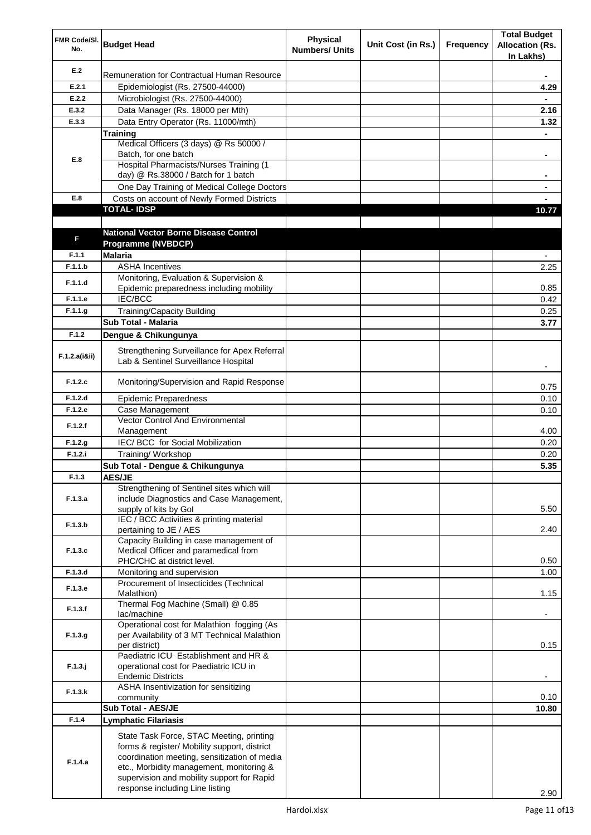| FMR Code/SI.<br>No. | <b>Budget Head</b>                                                                                                                                                                                                                                                    | <b>Physical</b><br><b>Numbers/ Units</b> | Unit Cost (in Rs.) | Frequency | <b>Total Budget</b><br><b>Allocation (Rs.</b><br>In Lakhs) |
|---------------------|-----------------------------------------------------------------------------------------------------------------------------------------------------------------------------------------------------------------------------------------------------------------------|------------------------------------------|--------------------|-----------|------------------------------------------------------------|
| E.2                 | Remuneration for Contractual Human Resource                                                                                                                                                                                                                           |                                          |                    |           |                                                            |
| E.2.1               | Epidemiologist (Rs. 27500-44000)                                                                                                                                                                                                                                      |                                          |                    |           | 4.29                                                       |
| E.2.2               | Microbiologist (Rs. 27500-44000)                                                                                                                                                                                                                                      |                                          |                    |           |                                                            |
| E.3.2               | Data Manager (Rs. 18000 per Mth)                                                                                                                                                                                                                                      |                                          |                    |           | 2.16                                                       |
| E.3.3               | Data Entry Operator (Rs. 11000/mth)                                                                                                                                                                                                                                   |                                          |                    |           | 1.32                                                       |
|                     | Training                                                                                                                                                                                                                                                              |                                          |                    |           | $\blacksquare$                                             |
|                     | Medical Officers (3 days) @ Rs 50000 /                                                                                                                                                                                                                                |                                          |                    |           |                                                            |
| E.8                 | Batch, for one batch<br><b>Hospital Pharmacists/Nurses Training (1)</b>                                                                                                                                                                                               |                                          |                    |           | ۰                                                          |
|                     | day) @ Rs.38000 / Batch for 1 batch                                                                                                                                                                                                                                   |                                          |                    |           |                                                            |
|                     | One Day Training of Medical College Doctors                                                                                                                                                                                                                           |                                          |                    |           |                                                            |
| E.8                 | Costs on account of Newly Formed Districts                                                                                                                                                                                                                            |                                          |                    |           |                                                            |
|                     | <b>TOTAL-IDSP</b>                                                                                                                                                                                                                                                     |                                          |                    |           | 10.77                                                      |
|                     |                                                                                                                                                                                                                                                                       |                                          |                    |           |                                                            |
|                     | <b>National Vector Borne Disease Control</b>                                                                                                                                                                                                                          |                                          |                    |           |                                                            |
| F                   | Programme (NVBDCP)                                                                                                                                                                                                                                                    |                                          |                    |           |                                                            |
| F.1.1               | <b>Malaria</b>                                                                                                                                                                                                                                                        |                                          |                    |           |                                                            |
| F.1.1.b             | <b>ASHA Incentives</b>                                                                                                                                                                                                                                                |                                          |                    |           | 2.25                                                       |
| F.1.1.d             | Monitoring, Evaluation & Supervision &                                                                                                                                                                                                                                |                                          |                    |           |                                                            |
|                     | Epidemic preparedness including mobility                                                                                                                                                                                                                              |                                          |                    |           | 0.85                                                       |
| F.1.1.e             | <b>IEC/BCC</b>                                                                                                                                                                                                                                                        |                                          |                    |           | 0.42                                                       |
| F.1.1.g             | <b>Training/Capacity Building</b><br><b>Sub Total - Malaria</b>                                                                                                                                                                                                       |                                          |                    |           | 0.25                                                       |
| F.1.2               |                                                                                                                                                                                                                                                                       |                                          |                    |           | 3.77                                                       |
|                     | Dengue & Chikungunya                                                                                                                                                                                                                                                  |                                          |                    |           |                                                            |
| F.1.2.a(iⅈ)         | Strengthening Surveillance for Apex Referral<br>Lab & Sentinel Surveillance Hospital                                                                                                                                                                                  |                                          |                    |           |                                                            |
| F.1.2.c             | Monitoring/Supervision and Rapid Response                                                                                                                                                                                                                             |                                          |                    |           | 0.75                                                       |
| F.1.2.d             | <b>Epidemic Preparedness</b>                                                                                                                                                                                                                                          |                                          |                    |           | 0.10                                                       |
| F.1.2.e             | Case Management                                                                                                                                                                                                                                                       |                                          |                    |           | 0.10                                                       |
| F.1.2.f             | Vector Control And Environmental                                                                                                                                                                                                                                      |                                          |                    |           |                                                            |
|                     | Management                                                                                                                                                                                                                                                            |                                          |                    |           | 4.00                                                       |
| F.1.2.g             | IEC/ BCC for Social Mobilization                                                                                                                                                                                                                                      |                                          |                    |           | 0.20                                                       |
| F.1.2.i             | Training/ Workshop                                                                                                                                                                                                                                                    |                                          |                    |           | 0.20                                                       |
|                     | Sub Total - Dengue & Chikungunya                                                                                                                                                                                                                                      |                                          |                    |           | 5.35                                                       |
| F.1.3               | <b>AES/JE</b>                                                                                                                                                                                                                                                         |                                          |                    |           |                                                            |
| F.1.3.a             | Strengthening of Sentinel sites which will<br>include Diagnostics and Case Management,<br>supply of kits by Gol                                                                                                                                                       |                                          |                    |           | 5.50                                                       |
| F.1.3.b             | IEC / BCC Activities & printing material<br>pertaining to JE / AES                                                                                                                                                                                                    |                                          |                    |           | 2.40                                                       |
|                     | Capacity Building in case management of                                                                                                                                                                                                                               |                                          |                    |           |                                                            |
| F.1.3.c             | Medical Officer and paramedical from                                                                                                                                                                                                                                  |                                          |                    |           |                                                            |
|                     | PHC/CHC at district level.                                                                                                                                                                                                                                            |                                          |                    |           | 0.50                                                       |
| F.1.3.d             | Monitoring and supervision                                                                                                                                                                                                                                            |                                          |                    |           | 1.00                                                       |
| F.1.3.e             | Procurement of Insecticides (Technical<br>Malathion)                                                                                                                                                                                                                  |                                          |                    |           | 1.15                                                       |
| F.1.3.f             | Thermal Fog Machine (Small) @ 0.85<br>lac/machine                                                                                                                                                                                                                     |                                          |                    |           | $\overline{\phantom{a}}$                                   |
| F.1.3.g             | Operational cost for Malathion fogging (As<br>per Availability of 3 MT Technical Malathion                                                                                                                                                                            |                                          |                    |           |                                                            |
| $F.1.3.$ j          | per district)<br>Paediatric ICU Establishment and HR &<br>operational cost for Paediatric ICU in                                                                                                                                                                      |                                          |                    |           | 0.15                                                       |
| F.1.3.k             | <b>Endemic Districts</b><br>ASHA Insentivization for sensitizing                                                                                                                                                                                                      |                                          |                    |           |                                                            |
|                     | community                                                                                                                                                                                                                                                             |                                          |                    |           | 0.10                                                       |
|                     | Sub Total - AES/JE                                                                                                                                                                                                                                                    |                                          |                    |           | 10.80                                                      |
| F.1.4               | <b>Lymphatic Filariasis</b>                                                                                                                                                                                                                                           |                                          |                    |           |                                                            |
| F.1.4.a             | State Task Force, STAC Meeting, printing<br>forms & register/ Mobility support, district<br>coordination meeting, sensitization of media<br>etc., Morbidity management, monitoring &<br>supervision and mobility support for Rapid<br>response including Line listing |                                          |                    |           |                                                            |
|                     |                                                                                                                                                                                                                                                                       |                                          |                    |           | 2.90                                                       |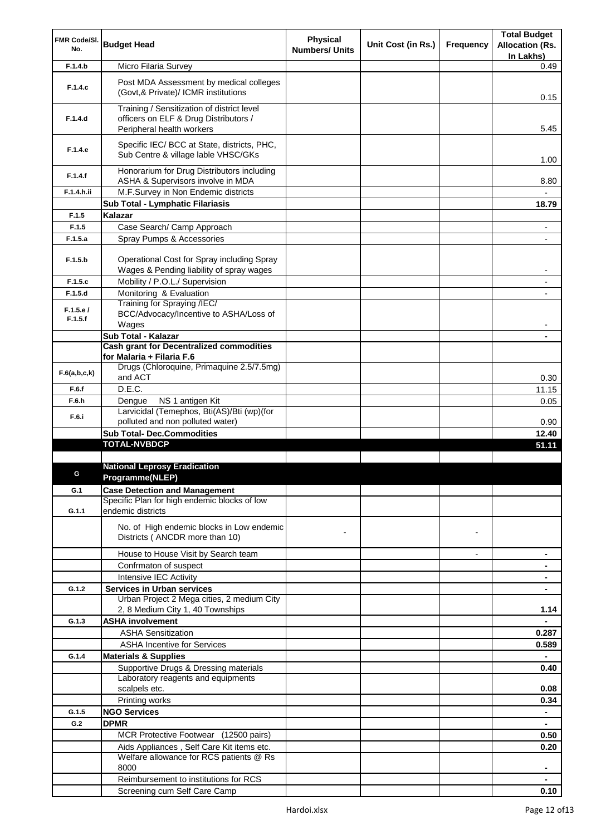| FMR Code/SI.        | <b>Budget Head</b>                                                                     | Physical              | Unit Cost (in Rs.) | Frequency      | <b>Total Budget</b>                 |
|---------------------|----------------------------------------------------------------------------------------|-----------------------|--------------------|----------------|-------------------------------------|
| No.                 |                                                                                        | <b>Numbers/ Units</b> |                    |                | <b>Allocation (Rs.</b><br>In Lakhs) |
| F.1.4.b             | Micro Filaria Survey                                                                   |                       |                    |                | 0.49                                |
|                     | Post MDA Assessment by medical colleges                                                |                       |                    |                |                                     |
| F.1.4.c             | (Govt, & Private)/ ICMR institutions                                                   |                       |                    |                | 0.15                                |
|                     | Training / Sensitization of district level                                             |                       |                    |                |                                     |
| F.1.4.d             | officers on ELF & Drug Distributors /<br>Peripheral health workers                     |                       |                    |                | 5.45                                |
|                     | Specific IEC/ BCC at State, districts, PHC,                                            |                       |                    |                |                                     |
| F.1.4.e             | Sub Centre & village lable VHSC/GKs                                                    |                       |                    |                | 1.00                                |
| F.1.4.f             | Honorarium for Drug Distributors including<br>ASHA & Supervisors involve in MDA        |                       |                    |                | 8.80                                |
| F.1.4.h.ii          | M.F.Survey in Non Endemic districts                                                    |                       |                    |                |                                     |
|                     | Sub Total - Lymphatic Filariasis                                                       |                       |                    |                | 18.79                               |
| F.1.5               | Kalazar                                                                                |                       |                    |                |                                     |
| F.1.5               | Case Search/ Camp Approach                                                             |                       |                    |                | ۰                                   |
| F.1.5.a             | Spray Pumps & Accessories                                                              |                       |                    |                |                                     |
| F.1.5.b             | Operational Cost for Spray including Spray<br>Wages & Pending liability of spray wages |                       |                    |                | -                                   |
| F.1.5.c             | Mobility / P.O.L./ Supervision                                                         |                       |                    |                | ٠                                   |
| F.1.5.d             | Monitoring & Evaluation                                                                |                       |                    |                |                                     |
|                     | Training for Spraying /IEC/                                                            |                       |                    |                |                                     |
| F.1.5.e/<br>F.1.5.f | BCC/Advocacy/Incentive to ASHA/Loss of<br>Wages                                        |                       |                    |                |                                     |
|                     | Sub Total - Kalazar                                                                    |                       |                    |                |                                     |
|                     | <b>Cash grant for Decentralized commodities</b>                                        |                       |                    |                |                                     |
|                     | for Malaria + Filaria F.6                                                              |                       |                    |                |                                     |
| F.6(a,b,c,k)        | Drugs (Chloroquine, Primaquine 2.5/7.5mg)<br>and ACT                                   |                       |                    |                | 0.30                                |
| F.6.f               | D.E.C.                                                                                 |                       |                    |                | 11.15                               |
| F.6.h               | NS 1 antigen Kit<br>Dengue                                                             |                       |                    |                | 0.05                                |
| F.6.i               | Larvicidal (Temephos, Bti(AS)/Bti (wp)(for                                             |                       |                    |                |                                     |
|                     | polluted and non polluted water)                                                       |                       |                    |                | 0.90                                |
|                     | <b>Sub Total- Dec.Commodities</b><br><b>TOTAL-NVBDCP</b>                               |                       |                    |                | 12.40                               |
|                     |                                                                                        |                       |                    |                | 51.11                               |
|                     | <b>National Leprosy Eradication</b>                                                    |                       |                    |                |                                     |
|                     | Programme(NLEP)                                                                        |                       |                    |                |                                     |
| G.1                 | <b>Case Detection and Management</b>                                                   |                       |                    |                |                                     |
|                     | Specific Plan for high endemic blocks of low                                           |                       |                    |                |                                     |
| G.1.1               | endemic districts                                                                      |                       |                    |                |                                     |
|                     | No. of High endemic blocks in Low endemic                                              |                       |                    |                |                                     |
|                     | Districts (ANCDR more than 10)                                                         |                       |                    | $\blacksquare$ |                                     |
|                     | House to House Visit by Search team                                                    |                       |                    | $\overline{a}$ | ٠                                   |
|                     | Confrmaton of suspect                                                                  |                       |                    |                |                                     |
|                     | Intensive IEC Activity                                                                 |                       |                    |                |                                     |
| G.1.2               | <b>Services in Urban services</b>                                                      |                       |                    |                |                                     |
|                     | Urban Project 2 Mega cities, 2 medium City                                             |                       |                    |                |                                     |
|                     | 2, 8 Medium City 1, 40 Townships                                                       |                       |                    |                | 1.14                                |
| G.1.3               | <b>ASHA involvement</b>                                                                |                       |                    |                | $\blacksquare$                      |
|                     | <b>ASHA Sensitization</b>                                                              |                       |                    |                | 0.287                               |
|                     | <b>ASHA Incentive for Services</b>                                                     |                       |                    |                | 0.589                               |
| G.1.4               | <b>Materials &amp; Supplies</b>                                                        |                       |                    |                | ۰                                   |
|                     | Supportive Drugs & Dressing materials<br>Laboratory reagents and equipments            |                       |                    |                | 0.40                                |
|                     | scalpels etc.                                                                          |                       |                    |                | 0.08                                |
|                     | Printing works                                                                         |                       |                    |                | 0.34                                |
| G.1.5               | <b>NGO Services</b>                                                                    |                       |                    |                | $\blacksquare$                      |
| G.2                 | <b>DPMR</b>                                                                            |                       |                    |                |                                     |
|                     | MCR Protective Footwear (12500 pairs)                                                  |                       |                    |                | 0.50                                |
|                     | Aids Appliances, Self Care Kit items etc.                                              |                       |                    |                | 0.20                                |
|                     | Welfare allowance for RCS patients @ Rs                                                |                       |                    |                |                                     |
|                     | 8000                                                                                   |                       |                    |                | ۰                                   |
|                     | Reimbursement to institutions for RCS                                                  |                       |                    |                |                                     |
|                     | Screening cum Self Care Camp                                                           |                       |                    |                | 0.10                                |